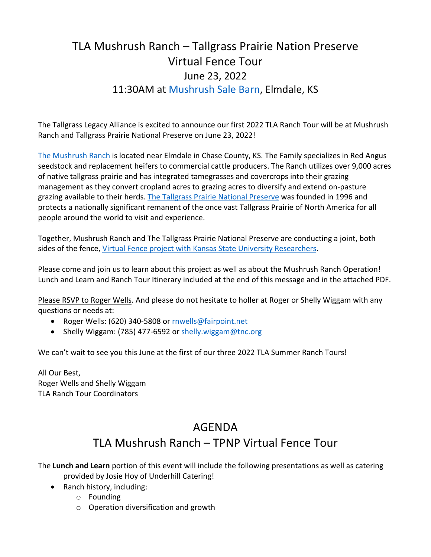## TLA Mushrush Ranch – Tallgrass Prairie Nation Preserve Virtual Fence Tour June 23, 2022 11:30AM at Mushrush Sale Barn, Elmdale, KS

The Tallgrass Legacy Alliance is excited to announce our first 2022 TLA Ranch Tour will be at Mushrush Ranch and Tallgrass Prairie National Preserve on June 23, 2022!

The Mushrush Ranch is located near Elmdale in Chase County, KS. The Family specializes in Red Angus seedstock and replacement heifers to commercial cattle producers. The Ranch utilizes over 9,000 acres of native tallgrass prairie and has integrated tamegrasses and covercrops into their grazing management as they convert cropland acres to grazing acres to diversify and extend on-pasture grazing available to their herds. The Tallgrass Prairie National Preserve was founded in 1996 and protects a nationally significant remanent of the once vast Tallgrass Prairie of North America for all people around the world to visit and experience.

Together, Mushrush Ranch and The Tallgrass Prairie National Preserve are conducting a joint, both sides of the fence, Virtual Fence project with Kansas State University Researchers.

Please come and join us to learn about this project as well as about the Mushrush Ranch Operation! Lunch and Learn and Ranch Tour Itinerary included at the end of this message and in the attached PDF.

Please RSVP to Roger Wells. And please do not hesitate to holler at Roger or Shelly Wiggam with any questions or needs at:

- Roger Wells: (620) 340-5808 or rnwells@fairpoint.net
- Shelly Wiggam: (785) 477-6592 or shelly.wiggam@tnc.org

We can't wait to see you this June at the first of our three 2022 TLA Summer Ranch Tours!

All Our Best, Roger Wells and Shelly Wiggam TLA Ranch Tour Coordinators

## AGENDA

## TLA Mushrush Ranch – TPNP Virtual Fence Tour

The **Lunch and Learn** portion of this event will include the following presentations as well as catering provided by Josie Hoy of Underhill Catering!

- Ranch history, including:
	- o Founding
	- o Operation diversification and growth